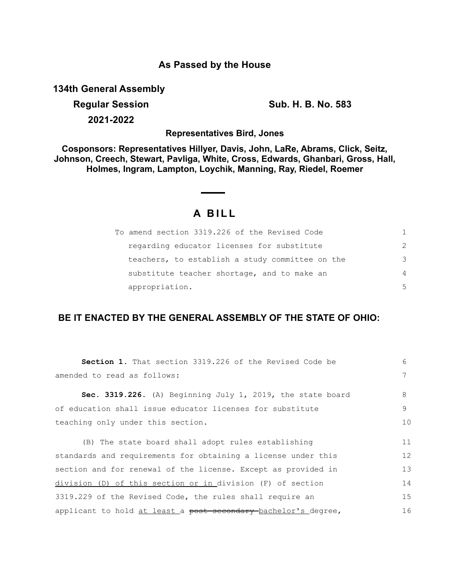#### **As Passed by the House**

**134th General Assembly**

# **Regular Session Sub. H. B. No. 583**

**2021-2022**

**Representatives Bird, Jones**

**Cosponsors: Representatives Hillyer, Davis, John, LaRe, Abrams, Click, Seitz, Johnson, Creech, Stewart, Pavliga, White, Cross, Edwards, Ghanbari, Gross, Hall, Holmes, Ingram, Lampton, Loychik, Manning, Ray, Riedel, Roemer**

### **A B I L L**

| To amend section 3319.226 of the Revised Code   | 1.            |
|-------------------------------------------------|---------------|
| regarding educator licenses for substitute      | $\mathcal{P}$ |
| teachers, to establish a study committee on the | 3             |
| substitute teacher shortage, and to make an     | 4             |
| appropriation.                                  | .5            |

#### **BE IT ENACTED BY THE GENERAL ASSEMBLY OF THE STATE OF OHIO:**

| Section 1. That section 3319.226 of the Revised Code be        | 6  |
|----------------------------------------------------------------|----|
| amended to read as follows:                                    | 7  |
| Sec. 3319.226. (A) Beginning July 1, 2019, the state board     | 8  |
| of education shall issue educator licenses for substitute      | 9  |
| teaching only under this section.                              | 10 |
| (B) The state board shall adopt rules establishing             | 11 |
| standards and requirements for obtaining a license under this  | 12 |
| section and for renewal of the license. Except as provided in  |    |
| division (D) of this section or in division (F) of section     | 14 |
| 3319.229 of the Revised Code, the rules shall require an       | 15 |
| applicant to hold at least a post secondary bachelor's degree, | 16 |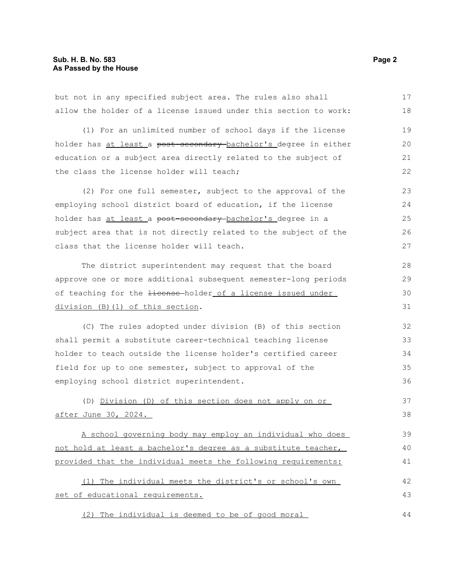but not in any specified subject area. The rules also shall allow the holder of a license issued under this section to work: (1) For an unlimited number of school days if the license holder has at least a post-secondary-bachelor's degree in either education or a subject area directly related to the subject of the class the license holder will teach; (2) For one full semester, subject to the approval of the employing school district board of education, if the license holder has at least a post-secondary-bachelor's degree in a subject area that is not directly related to the subject of the class that the license holder will teach. The district superintendent may request that the board approve one or more additional subsequent semester-long periods of teaching for the *license*-holder of a license issued under division (B)(1) of this section. (C) The rules adopted under division (B) of this section shall permit a substitute career-technical teaching license holder to teach outside the license holder's certified career field for up to one semester, subject to approval of the employing school district superintendent. (D) Division (D) of this section does not apply on or after June 30, 2024. A school governing body may employ an individual who does not hold at least a bachelor's degree as a substitute teacher, provided that the individual meets the following requirements: (1) The individual meets the district's or school's own set of educational requirements. (2) The individual is deemed to be of good moral 17 18 19 20 21 22 23 24 25 26 27 28 29 30 31 32 33 34 35 36 37 38 39 40 41 42 43 44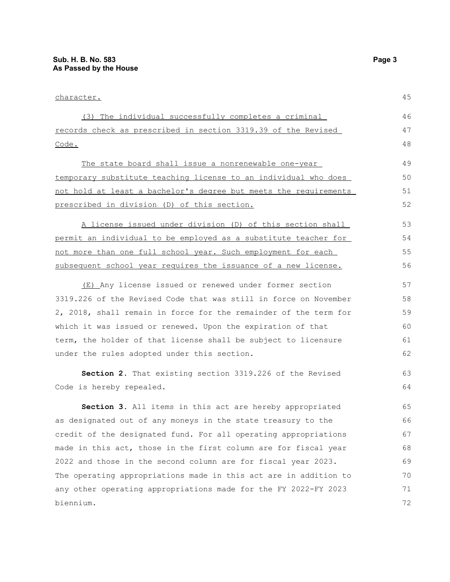## character. (3) The individual successfully completes a criminal records check as prescribed in section 3319.39 of the Revised Code. The state board shall issue a nonrenewable one-year

temporary substitute teaching license to an individual who does not hold at least a bachelor's degree but meets the requirements prescribed in division (D) of this section.

A license issued under division (D) of this section shall permit an individual to be employed as a substitute teacher for not more than one full school year. Such employment for each subsequent school year requires the issuance of a new license.

(E) Any license issued or renewed under former section 3319.226 of the Revised Code that was still in force on November 2, 2018, shall remain in force for the remainder of the term for which it was issued or renewed. Upon the expiration of that term, the holder of that license shall be subject to licensure under the rules adopted under this section.

**Section 2.** That existing section 3319.226 of the Revised Code is hereby repealed.

**Section 3.** All items in this act are hereby appropriated as designated out of any moneys in the state treasury to the credit of the designated fund. For all operating appropriations made in this act, those in the first column are for fiscal year 2022 and those in the second column are for fiscal year 2023. The operating appropriations made in this act are in addition to any other operating appropriations made for the FY 2022-FY 2023 biennium.

45

46 47 48

63 64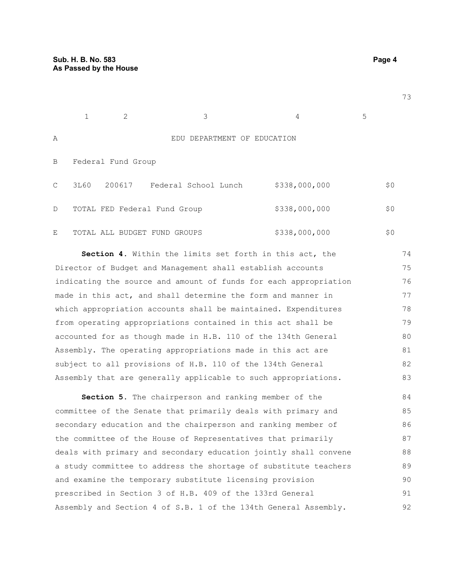$1 \t 2 \t 3 \t 4 \t 5$ A EDU DEPARTMENT OF EDUCATION B Federal Fund Group C 3L60 200617 Federal School Lunch \$338,000,000 \$0 D TOTAL FED Federal Fund Group  $$338,000,000$  \$0 E TOTAL ALL BUDGET FUND GROUPS  $$338,000,000$   $$0$ 

**Section 4.** Within the limits set forth in this act, the Director of Budget and Management shall establish accounts indicating the source and amount of funds for each appropriation made in this act, and shall determine the form and manner in which appropriation accounts shall be maintained. Expenditures from operating appropriations contained in this act shall be accounted for as though made in H.B. 110 of the 134th General Assembly. The operating appropriations made in this act are subject to all provisions of H.B. 110 of the 134th General Assembly that are generally applicable to such appropriations. 74 75 76 77 78 79 80 81 82 83

**Section 5.** The chairperson and ranking member of the committee of the Senate that primarily deals with primary and secondary education and the chairperson and ranking member of the committee of the House of Representatives that primarily deals with primary and secondary education jointly shall convene a study committee to address the shortage of substitute teachers and examine the temporary substitute licensing provision prescribed in Section 3 of H.B. 409 of the 133rd General Assembly and Section 4 of S.B. 1 of the 134th General Assembly. 84 85 86 87 88 89 90 91 92

73